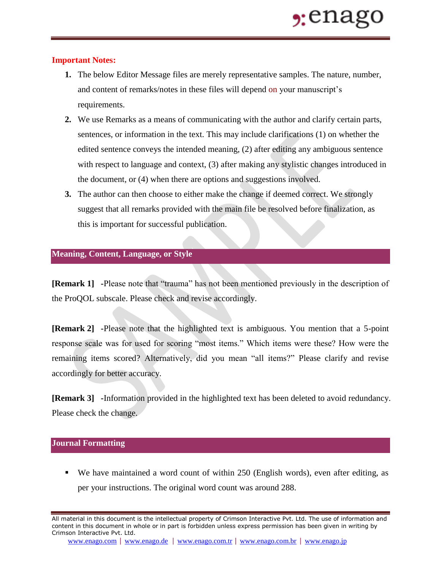## **Important Notes:**

- **1.** The below Editor Message files are merely representative samples. The nature, number, and content of remarks/notes in these files will depend on your manuscript's requirements.
- **2.** We use Remarks as a means of communicating with the author and clarify certain parts, sentences, or information in the text. This may include clarifications (1) on whether the edited sentence conveys the intended meaning, (2) after editing any ambiguous sentence with respect to language and context, (3) after making any stylistic changes introduced in the document, or (4) when there are options and suggestions involved.
- **3.** The author can then choose to either make the change if deemed correct. We strongly suggest that all remarks provided with the main file be resolved before finalization, as this is important for successful publication.

## **Meaning, Content, Language, or Style**

**[Remark 1] -**Please note that "trauma" has not been mentioned previously in the description of the ProQOL subscale. Please check and revise accordingly.

**[Remark 2] -**Please note that the highlighted text is ambiguous. You mention that a 5-point response scale was for used for scoring "most items." Which items were these? How were the remaining items scored? Alternatively, did you mean "all items?" Please clarify and revise accordingly for better accuracy.

**[Remark 3] -**Information provided in the highlighted text has been deleted to avoid redundancy. Please check the change.

## **Journal Formatting**

 We have maintained a word count of within 250 (English words), even after editing, as per your instructions. The original word count was around 288.

All material in this document is the intellectual property of Crimson Interactive Pvt. Ltd. The use of information and content in this document in whole or in part is forbidden unless express permission has been given in writing by Crimson Interactive Pvt. Ltd.